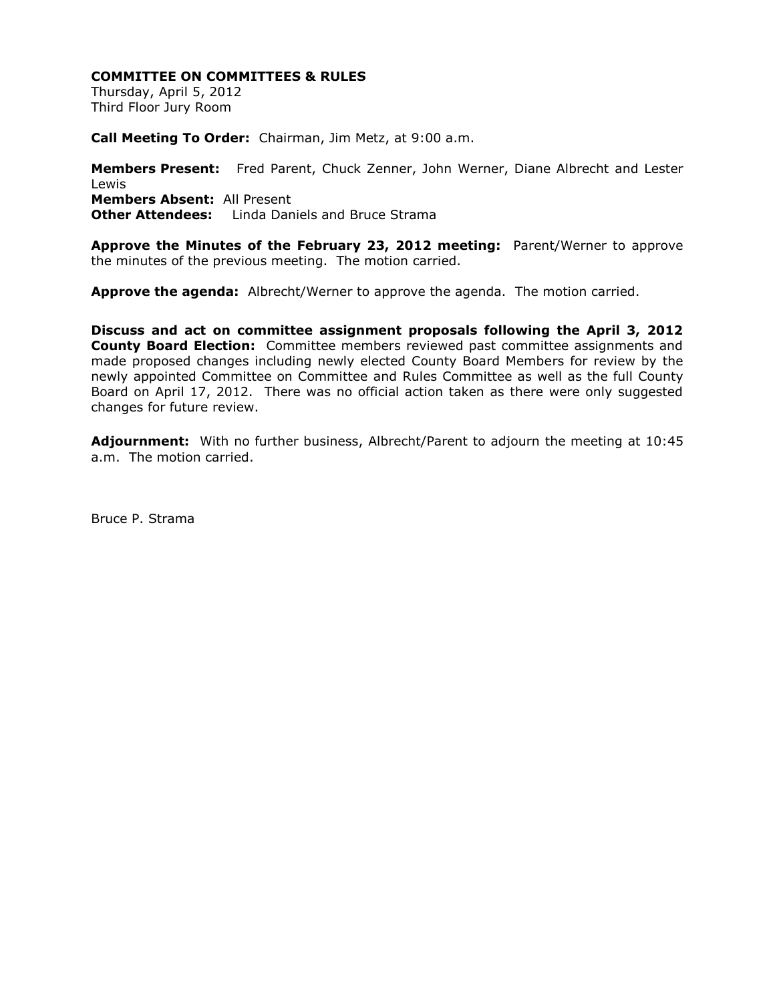## **COMMITTEE ON COMMITTEES & RULES**

Thursday, April 5, 2012 Third Floor Jury Room

**Call Meeting To Order:** Chairman, Jim Metz, at 9:00 a.m.

**Members Present:** Fred Parent, Chuck Zenner, John Werner, Diane Albrecht and Lester Lewis **Members Absent:** All Present **Other Attendees:** Linda Daniels and Bruce Strama

**Approve the Minutes of the February 23, 2012 meeting:** Parent/Werner to approve the minutes of the previous meeting. The motion carried.

**Approve the agenda:** Albrecht/Werner to approve the agenda. The motion carried.

**Discuss and act on committee assignment proposals following the April 3, 2012 County Board Election:** Committee members reviewed past committee assignments and made proposed changes including newly elected County Board Members for review by the newly appointed Committee on Committee and Rules Committee as well as the full County Board on April 17, 2012. There was no official action taken as there were only suggested changes for future review.

**Adjournment:** With no further business, Albrecht/Parent to adjourn the meeting at 10:45 a.m. The motion carried.

Bruce P. Strama